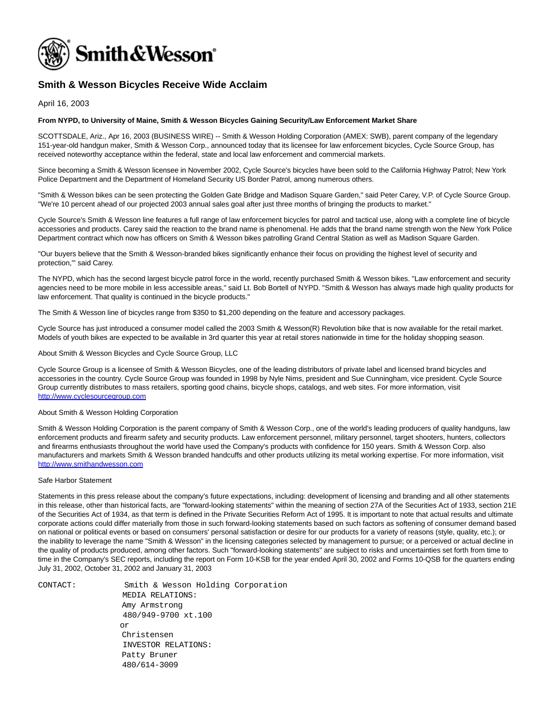

## **Smith & Wesson Bicycles Receive Wide Acclaim**

April 16, 2003

## **From NYPD, to University of Maine, Smith & Wesson Bicycles Gaining Security/Law Enforcement Market Share**

SCOTTSDALE, Ariz., Apr 16, 2003 (BUSINESS WIRE) -- Smith & Wesson Holding Corporation (AMEX: SWB), parent company of the legendary 151-year-old handgun maker, Smith & Wesson Corp., announced today that its licensee for law enforcement bicycles, Cycle Source Group, has received noteworthy acceptance within the federal, state and local law enforcement and commercial markets.

Since becoming a Smith & Wesson licensee in November 2002, Cycle Source's bicycles have been sold to the California Highway Patrol; New York Police Department and the Department of Homeland Security US Border Patrol, among numerous others.

"Smith & Wesson bikes can be seen protecting the Golden Gate Bridge and Madison Square Garden," said Peter Carey, V.P. of Cycle Source Group. "We're 10 percent ahead of our projected 2003 annual sales goal after just three months of bringing the products to market."

Cycle Source's Smith & Wesson line features a full range of law enforcement bicycles for patrol and tactical use, along with a complete line of bicycle accessories and products. Carey said the reaction to the brand name is phenomenal. He adds that the brand name strength won the New York Police Department contract which now has officers on Smith & Wesson bikes patrolling Grand Central Station as well as Madison Square Garden.

"Our buyers believe that the Smith & Wesson-branded bikes significantly enhance their focus on providing the highest level of security and protection,'" said Carey.

The NYPD, which has the second largest bicycle patrol force in the world, recently purchased Smith & Wesson bikes. "Law enforcement and security agencies need to be more mobile in less accessible areas," said Lt. Bob Bortell of NYPD. "Smith & Wesson has always made high quality products for law enforcement. That quality is continued in the bicycle products."

The Smith & Wesson line of bicycles range from \$350 to \$1,200 depending on the feature and accessory packages.

Cycle Source has just introduced a consumer model called the 2003 Smith & Wesson(R) Revolution bike that is now available for the retail market. Models of youth bikes are expected to be available in 3rd quarter this year at retail stores nationwide in time for the holiday shopping season.

About Smith & Wesson Bicycles and Cycle Source Group, LLC

Cycle Source Group is a licensee of Smith & Wesson Bicycles, one of the leading distributors of private label and licensed brand bicycles and accessories in the country. Cycle Source Group was founded in 1998 by Nyle Nims, president and Sue Cunningham, vice president. Cycle Source Group currently distributes to mass retailers, sporting good chains, bicycle shops, catalogs, and web sites. For more information, visit [http://www.cyclesourcegroup.com](http://www.cyclesourcegroup.com/)

## About Smith & Wesson Holding Corporation

Smith & Wesson Holding Corporation is the parent company of Smith & Wesson Corp., one of the world's leading producers of quality handguns, law enforcement products and firearm safety and security products. Law enforcement personnel, military personnel, target shooters, hunters, collectors and firearms enthusiasts throughout the world have used the Company's products with confidence for 150 years. Smith & Wesson Corp. also manufacturers and markets Smith & Wesson branded handcuffs and other products utilizing its metal working expertise. For more information, visit [http://www.smithandwesson.com](http://www.smithandwesson.com/)

## Safe Harbor Statement

Statements in this press release about the company's future expectations, including: development of licensing and branding and all other statements in this release, other than historical facts, are "forward-looking statements" within the meaning of section 27A of the Securities Act of 1933, section 21E of the Securities Act of 1934, as that term is defined in the Private Securities Reform Act of 1995. It is important to note that actual results and ultimate corporate actions could differ materially from those in such forward-looking statements based on such factors as softening of consumer demand based on national or political events or based on consumers' personal satisfaction or desire for our products for a variety of reasons (style, quality, etc.); or the inability to leverage the name "Smith & Wesson" in the licensing categories selected by management to pursue; or a perceived or actual decline in the quality of products produced, among other factors. Such "forward-looking statements" are subject to risks and uncertainties set forth from time to time in the Company's SEC reports, including the report on Form 10-KSB for the year ended April 30, 2002 and Forms 10-QSB for the quarters ending July 31, 2002, October 31, 2002 and January 31, 2003

CONTACT: Smith & Wesson Holding Corporation MEDIA RELATIONS: Amy Armstrong 480/949-9700 xt.100 or Christensen INVESTOR RELATIONS: Patty Bruner 480/614-3009